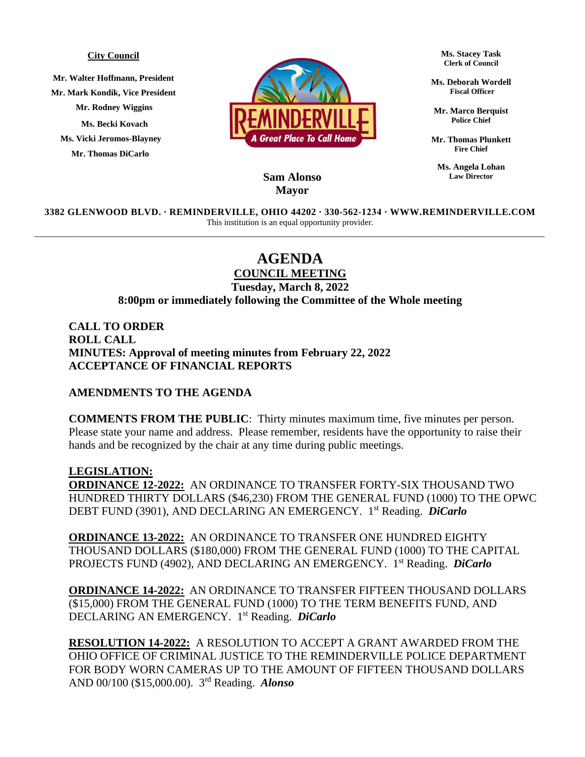## **City Council**

**Mr. Walter Hoffmann, President Mr. Mark Kondik, Vice President Mr. Rodney Wiggins Ms. Becki Kovach Ms. Vicki Jeromos-Blayney Mr. Thomas DiCarlo**



**Ms. Stacey Task Clerk of Council**

**Ms. Deborah Wordell Fiscal Officer**

**Mr. Marco Berquist Police Chief**

**Mr. Thomas Plunkett Fire Chief**

**Ms. Angela Lohan Law Director**

## **Sam Alonso Mayor**

**3382 GLENWOOD BLVD. ∙ REMINDERVILLE, OHIO 44202 ∙ 330-562-1234 ∙ WWW.REMINDERVILLE.COM**  This institution is an equal opportunity provider. \_\_\_\_\_\_\_\_\_\_\_\_\_\_\_\_\_\_\_\_\_\_\_\_\_\_\_\_\_\_\_\_\_\_\_\_\_\_\_\_\_\_\_\_\_\_\_\_\_\_\_\_\_\_\_\_\_\_\_\_\_\_\_\_\_\_\_\_\_\_\_\_\_\_\_\_\_\_\_\_\_\_\_\_\_\_\_\_\_\_\_\_\_\_\_\_\_\_\_\_\_\_\_\_\_\_\_

## **AGENDA**

**COUNCIL MEETING Tuesday, March 8, 2022 8:00pm or immediately following the Committee of the Whole meeting**

**CALL TO ORDER ROLL CALL MINUTES: Approval of meeting minutes from February 22, 2022 ACCEPTANCE OF FINANCIAL REPORTS**

## **AMENDMENTS TO THE AGENDA**

**COMMENTS FROM THE PUBLIC**: Thirty minutes maximum time, five minutes per person. Please state your name and address. Please remember, residents have the opportunity to raise their hands and be recognized by the chair at any time during public meetings.

**LEGISLATION: ORDINANCE 12-2022:** AN ORDINANCE TO TRANSFER FORTY-SIX THOUSAND TWO HUNDRED THIRTY DOLLARS (\$46,230) FROM THE GENERAL FUND (1000) TO THE OPWC DEBT FUND (3901), AND DECLARING AN EMERGENCY. 1 st Reading. *DiCarlo*

**ORDINANCE 13-2022:** AN ORDINANCE TO TRANSFER ONE HUNDRED EIGHTY THOUSAND DOLLARS (\$180,000) FROM THE GENERAL FUND (1000) TO THE CAPITAL PROJECTS FUND (4902), AND DECLARING AN EMERGENCY. 1 st Reading. *DiCarlo*

**ORDINANCE 14-2022:** AN ORDINANCE TO TRANSFER FIFTEEN THOUSAND DOLLARS (\$15,000) FROM THE GENERAL FUND (1000) TO THE TERM BENEFITS FUND, AND DECLARING AN EMERGENCY. 1 st Reading. *DiCarlo*

**RESOLUTION 14-2022:** A RESOLUTION TO ACCEPT A GRANT AWARDED FROM THE OHIO OFFICE OF CRIMINAL JUSTICE TO THE REMINDERVILLE POLICE DEPARTMENT FOR BODY WORN CAMERAS UP TO THE AMOUNT OF FIFTEEN THOUSAND DOLLARS AND 00/100 (\$15,000.00). 3 rd Reading. *Alonso*